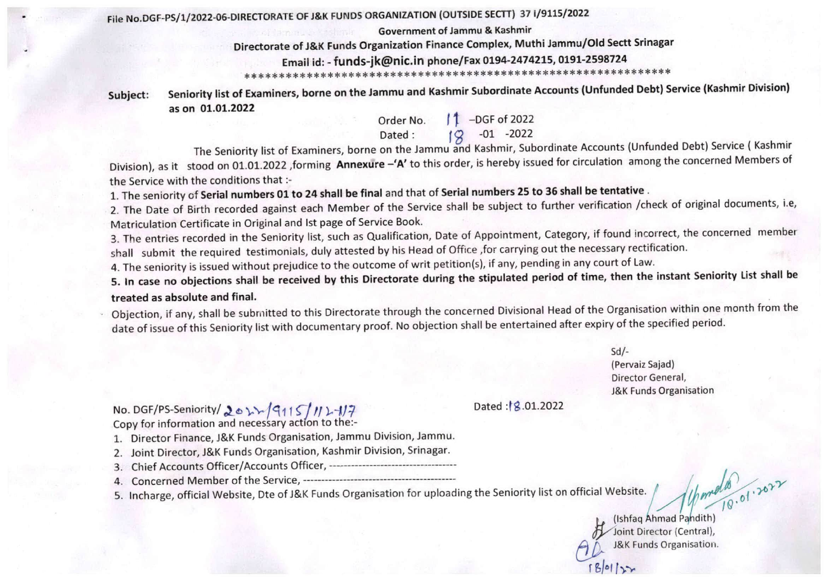## File NO.D6F-PS/1/2022-06-DIRECTORATE OF J&K FUNDS ORGANIZATION (OUTSIDE SECTT) 37 1/9115/2022

Government of Jammu & Kashmir

## Directorate of J&K Funds Organization Finance Complex, Muthi Jammu/Old Sectt Srlnagar

Email id: - funds-jk@nic.in phone/Fax 0194-2474215, 0191-2598724 \*\*\*\*\*\*\*\*\*\*\*\*\*\*\*\*\*\*\*\*\*\*\*\*+\*\*♦\*\*\*\*\*\*\*\*\*\*\*\*\*\*\*\*\*\*\*\*\*\*\*\*\*\*\*\*\*\*\*\*\*\*

Subject: Seniority list of Examiners, borne on the Jammu and Kashmir Subordinate Accounts (Unfunded Debt) Service (Kashmir Division) as on 01.01.2022

Order No.  $\int \uparrow$  -DGF of 2022 Dated:  $(9 -01 -2022)$ 

The Seniority list of Examiners, borne on the Jammu and Kashmir, Subordinate Accounts (Unfunded Debt) Service ( Kashmir Division), as it stood on 01.01.2022 ,forming Annexure -'A' to this order, is hereby issued for circulation among the concerned Members of the Service with the conditions that ;-

1. The seniority of Serial numbers 01 to 24 shall be final and that of Serial numbers 25 to 36 shall be tentative .

2. The Date of Birth recorded against each Member of the Service shall be subject to further verification /check of original documents, i.e, Matriculation Certificate in Original and 1st page of Service Book.

3. The entries recorded in the Seniority list, such as Qualification, Date of Appointment, Category, if found incorrect, the concerned member shall submit the required testimonials, duly attested by his Head of Office ,for carrying out the necessary rectification.

4. The seniority is issued without prejudice to the outcome of writ petition(s), if any, pending in any court of Law.

5. In case no objections shall be received by this Directorate during the stipulated period of time, then the instant Seniority List shall be treated as absolute and final.

Objection, if any, shall be submitted to this Directorate through the concerned Divisional Head of the Organisation within one month from the date of issue of this Seniority list with documentary proof. No objection shall be entertained after expiry of the specified period.

> Sd/- (Pervaiz Sajad) Director General, J&K Funds Organisation

No. DGF/PS-Seniority/ 201/15/115/11-117 Dated:18.01.2022 Copy for information and necessary action to the:-

1. Director Finance, J&K Funds Organisation, Jammu Division, Jammu.

- 2. Joint Director, J&K Funds Organisation, Kashmir Division, Srinagar.
- 3. Chief Accounts Officer/Accounts Officer,
- 4. Concerned Member of the Service,
- 5. Incharge, official Website, Dte of J&K Funds Organisation for uploading the Seniority list on official Website. /

(Ishfaq Ahmad Pandith) Joint Director (Central), J&K Funds Organisation. I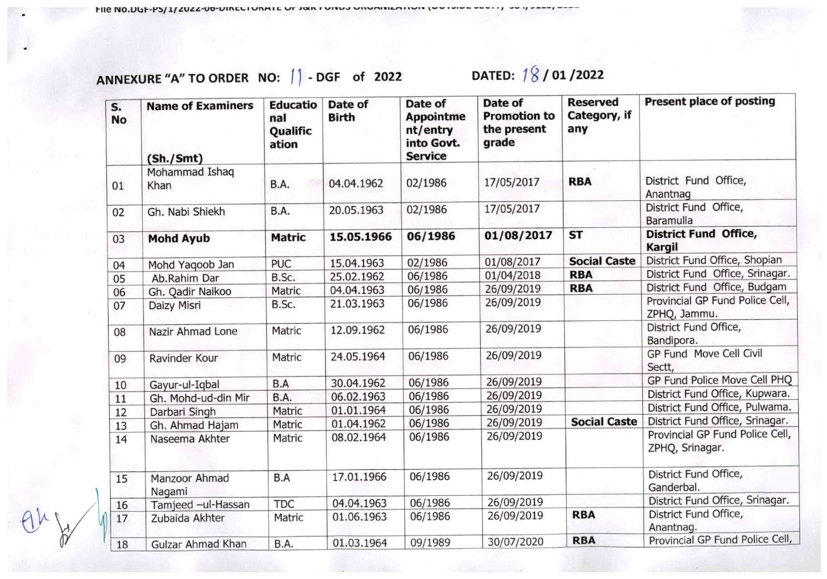ANNEXURE "A" TO ORDER NO:  $| \cdot |$  - DGF of 2022 DATED:  $| \cdot |$  / 01 / 2022

| S.<br><b>No</b> | <b>Name of Examiners</b><br>(Sh./Smt) | <b>Educatio</b><br>nal<br>Qualific<br>ation | Date of<br><b>Birth</b> | Date of<br><b>Appointme</b><br>nt/entry<br>into Govt.<br><b>Service</b> | Date of<br><b>Promotion to</b><br>the present<br>grade | <b>Reserved</b><br>Category, if<br>any | Present place of posting                           |
|-----------------|---------------------------------------|---------------------------------------------|-------------------------|-------------------------------------------------------------------------|--------------------------------------------------------|----------------------------------------|----------------------------------------------------|
| 01              | Mohammad Ishaq<br>Khan                | B.A.                                        | 04.04.1962              | 02/1986                                                                 | 17/05/2017                                             | <b>RBA</b>                             | District Fund Office,<br>Anantnag                  |
| 02              | Gh. Nabi Shiekh                       | B.A.                                        | 20.05.1963              | 02/1986                                                                 | 17/05/2017                                             |                                        | District Fund Office,<br>Baramulla                 |
| 03              | <b>Mohd Ayub</b>                      | <b>Matric</b>                               | 15.05.1966              | 06/1986                                                                 | 01/08/2017                                             | <b>ST</b>                              | <b>District Fund Office,</b><br><b>Kargil</b>      |
| 04              | Mohd Yaqoob Jan                       | <b>PUC</b>                                  | 15.04.1963              | 02/1986                                                                 | 01/08/2017                                             | <b>Social Caste</b>                    | District Fund Office, Shopian                      |
| 05              | Ab.Rahim Dar                          | B.Sc.                                       | 25.02.1962              | 06/1986                                                                 | 01/04/2018                                             | <b>RBA</b>                             | District Fund Office, Srinagar.                    |
| 06              | Gh. Qadir Naikoo                      | Matric                                      | 04.04.1963              | 06/1986                                                                 | 26/09/2019                                             | <b>RBA</b>                             | District Fund Office, Budgam                       |
| 07              | Daizy Misri                           | B.Sc.                                       | 21.03.1963              | 06/1986                                                                 | 26/09/2019                                             |                                        | Provincial GP Fund Police Cell,<br>ZPHQ, Jammu.    |
| 08              | Nazir Ahmad Lone                      | Matric                                      | 12.09.1962              | 06/1986                                                                 | 26/09/2019                                             |                                        | District Fund Office,<br>Bandipora.                |
| 09              | Ravinder Kour                         | Matric                                      | 24.05.1964              | 06/1986                                                                 | 26/09/2019                                             |                                        | GP Fund Move Cell Civil<br>Sectt,                  |
| 10              | Gayur-ul-Iqbal                        | B.A                                         | 30.04.1962              | 06/1986                                                                 | 26/09/2019                                             |                                        | GP Fund Police Move Cell PHQ                       |
| 11              | Gh. Mohd-ud-din Mir                   | <b>B.A.</b>                                 | 06.02.1963              | 06/1986                                                                 | 26/09/2019                                             |                                        | District Fund Office, Kupwara.                     |
| 12              | Darbari Singh                         | Matric                                      | 01.01.1964              | 06/1986                                                                 | 26/09/2019                                             |                                        | District Fund Office, Pulwama.                     |
| 13              | Gh. Ahmad Hajam                       | Matric                                      | 01.04.1962              | 06/1986                                                                 | 26/09/2019                                             | <b>Social Caste</b>                    | District Fund Office, Srinagar.                    |
| 14              | Naseema Akhter                        | Matric                                      | 08.02.1964              | 06/1986                                                                 | 26/09/2019                                             |                                        | Provincial GP Fund Police Cell,<br>ZPHQ, Srinagar. |
| 15              | Manzoor Ahmad<br>Nagami               | B.A                                         | 17.01.1966              | 06/1986                                                                 | 26/09/2019                                             |                                        | District Fund Office,<br>Ganderbal.                |
| 16              | Tamjeed -ul-Hassan                    | <b>TDC</b>                                  | 04.04.1963              | 06/1986                                                                 | 26/09/2019                                             |                                        | District Fund Office, Srinagar.                    |
| 17              | Zubaida Akhter                        | Matric                                      | 01.06.1963              | 06/1986                                                                 | 26/09/2019                                             | <b>RBA</b>                             | District Fund Office,<br>Anantnag.                 |
| 18              | Gulzar Ahmad Khan                     | B.A.                                        | 01.03.1964              | 09/1989                                                                 | 30/07/2020                                             | <b>RBA</b>                             | Provincial GP Fund Police Cell,                    |